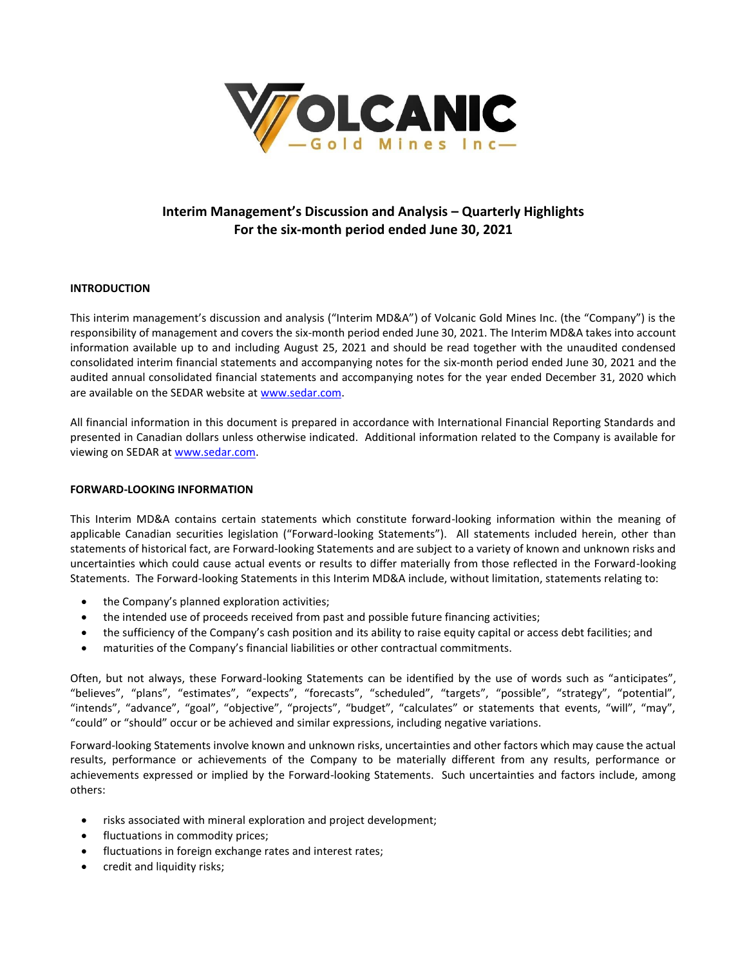

# **Interim Management's Discussion and Analysis – Quarterly Highlights For the six-month period ended June 30, 2021**

# **INTRODUCTION**

This interim management's discussion and analysis ("Interim MD&A") of Volcanic Gold Mines Inc. (the "Company") is the responsibility of management and covers the six-month period ended June 30, 2021. The Interim MD&A takes into account information available up to and including August 25, 2021 and should be read together with the unaudited condensed consolidated interim financial statements and accompanying notes for the six-month period ended June 30, 2021 and the audited annual consolidated financial statements and accompanying notes for the year ended December 31, 2020 which are available on the SEDAR website a[t www.sedar.com.](http://www.sedar.com/)

All financial information in this document is prepared in accordance with International Financial Reporting Standards and presented in Canadian dollars unless otherwise indicated. Additional information related to the Company is available for viewing on SEDAR at [www.sedar.com.](http://www.sedar.com/)

# **FORWARD-LOOKING INFORMATION**

This Interim MD&A contains certain statements which constitute forward-looking information within the meaning of applicable Canadian securities legislation ("Forward-looking Statements"). All statements included herein, other than statements of historical fact, are Forward-looking Statements and are subject to a variety of known and unknown risks and uncertainties which could cause actual events or results to differ materially from those reflected in the Forward-looking Statements. The Forward-looking Statements in this Interim MD&A include, without limitation, statements relating to:

- the Company's planned exploration activities;
- the intended use of proceeds received from past and possible future financing activities;
- the sufficiency of the Company's cash position and its ability to raise equity capital or access debt facilities; and
- maturities of the Company's financial liabilities or other contractual commitments.

Often, but not always, these Forward-looking Statements can be identified by the use of words such as "anticipates", "believes", "plans", "estimates", "expects", "forecasts", "scheduled", "targets", "possible", "strategy", "potential", "intends", "advance", "goal", "objective", "projects", "budget", "calculates" or statements that events, "will", "may", "could" or "should" occur or be achieved and similar expressions, including negative variations.

Forward-looking Statements involve known and unknown risks, uncertainties and other factors which may cause the actual results, performance or achievements of the Company to be materially different from any results, performance or achievements expressed or implied by the Forward-looking Statements. Such uncertainties and factors include, among others:

- risks associated with mineral exploration and project development;
- fluctuations in commodity prices;
- fluctuations in foreign exchange rates and interest rates;
- credit and liquidity risks;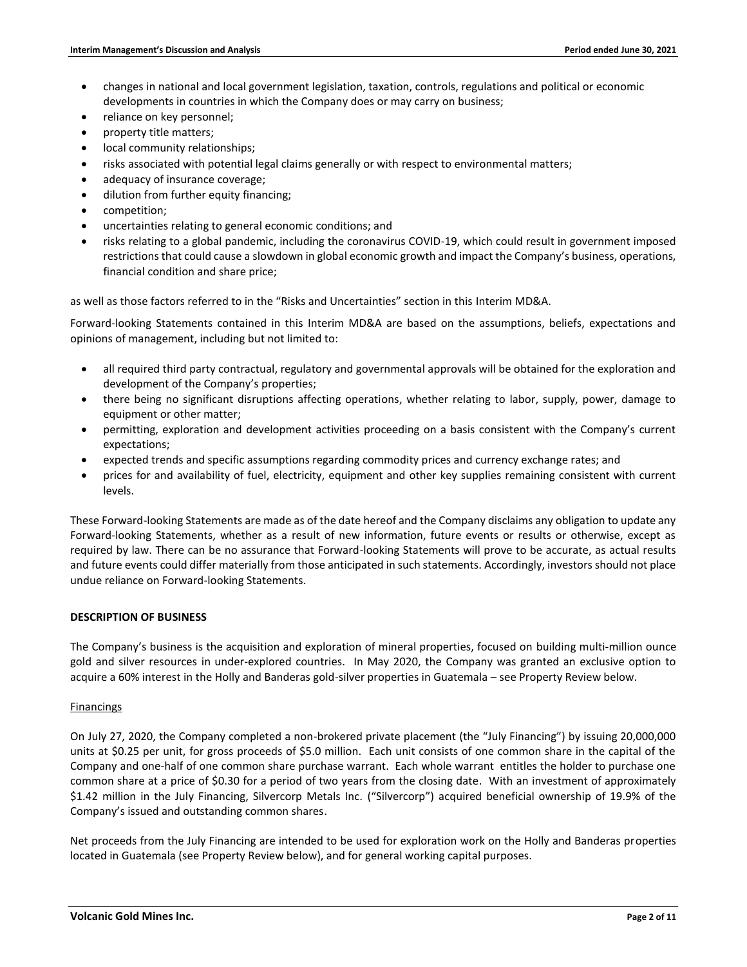- changes in national and local government legislation, taxation, controls, regulations and political or economic developments in countries in which the Company does or may carry on business;
- reliance on key personnel;
- property title matters;
- local community relationships;
- risks associated with potential legal claims generally or with respect to environmental matters;
- adequacy of insurance coverage;
- dilution from further equity financing;
- competition;
- uncertainties relating to general economic conditions; and
- risks relating to a global pandemic, including the coronavirus COVID-19, which could result in government imposed restrictions that could cause a slowdown in global economic growth and impact the Company's business, operations, financial condition and share price;

as well as those factors referred to in the "Risks and Uncertainties" section in this Interim MD&A.

Forward-looking Statements contained in this Interim MD&A are based on the assumptions, beliefs, expectations and opinions of management, including but not limited to:

- all required third party contractual, regulatory and governmental approvals will be obtained for the exploration and development of the Company's properties;
- there being no significant disruptions affecting operations, whether relating to labor, supply, power, damage to equipment or other matter;
- permitting, exploration and development activities proceeding on a basis consistent with the Company's current expectations;
- expected trends and specific assumptions regarding commodity prices and currency exchange rates; and
- prices for and availability of fuel, electricity, equipment and other key supplies remaining consistent with current levels.

These Forward-looking Statements are made as of the date hereof and the Company disclaims any obligation to update any Forward-looking Statements, whether as a result of new information, future events or results or otherwise, except as required by law. There can be no assurance that Forward-looking Statements will prove to be accurate, as actual results and future events could differ materially from those anticipated in such statements. Accordingly, investors should not place undue reliance on Forward-looking Statements.

# **DESCRIPTION OF BUSINESS**

The Company's business is the acquisition and exploration of mineral properties, focused on building multi-million ounce gold and silver resources in under-explored countries. In May 2020, the Company was granted an exclusive option to acquire a 60% interest in the Holly and Banderas gold-silver properties in Guatemala – see Property Review below.

### Financings

On July 27, 2020, the Company completed a non-brokered private placement (the "July Financing") by issuing 20,000,000 units at \$0.25 per unit, for gross proceeds of \$5.0 million. Each unit consists of one common share in the capital of the Company and one-half of one common share purchase warrant. Each whole warrant entitles the holder to purchase one common share at a price of \$0.30 for a period of two years from the closing date. With an investment of approximately \$1.42 million in the July Financing, Silvercorp Metals Inc. ("Silvercorp") acquired beneficial ownership of 19.9% of the Company's issued and outstanding common shares.

Net proceeds from the July Financing are intended to be used for exploration work on the Holly and Banderas properties located in Guatemala (see Property Review below), and for general working capital purposes.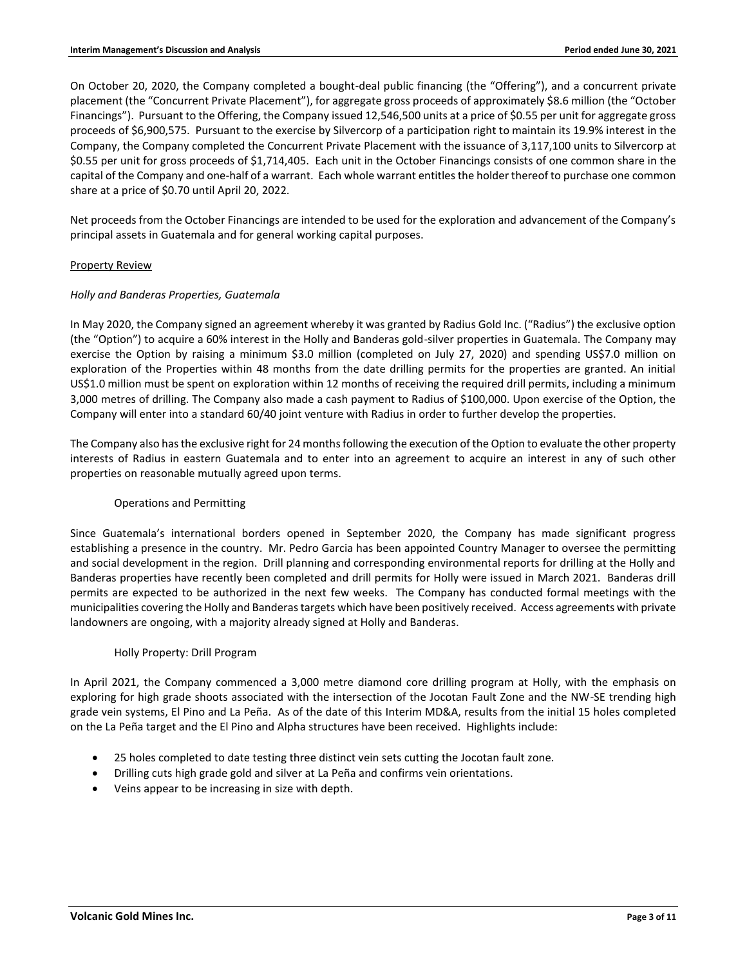On October 20, 2020, the Company completed a bought-deal public financing (the "Offering"), and a concurrent private placement (the "Concurrent Private Placement"), for aggregate gross proceeds of approximately \$8.6 million (the "October Financings"). Pursuant to the Offering, the Company issued 12,546,500 units at a price of \$0.55 per unit for aggregate gross proceeds of \$6,900,575. Pursuant to the exercise by Silvercorp of a participation right to maintain its 19.9% interest in the Company, the Company completed the Concurrent Private Placement with the issuance of 3,117,100 units to Silvercorp at \$0.55 per unit for gross proceeds of \$1,714,405. Each unit in the October Financings consists of one common share in the capital of the Company and one-half of a warrant. Each whole warrant entitles the holder thereof to purchase one common share at a price of \$0.70 until April 20, 2022.

Net proceeds from the October Financings are intended to be used for the exploration and advancement of the Company's principal assets in Guatemala and for general working capital purposes.

### Property Review

### *Holly and Banderas Properties, Guatemala*

In May 2020, the Company signed an agreement whereby it was granted by Radius Gold Inc. ("Radius") the exclusive option (the "Option") to acquire a 60% interest in the Holly and Banderas gold-silver properties in Guatemala. The Company may exercise the Option by raising a minimum \$3.0 million (completed on July 27, 2020) and spending US\$7.0 million on exploration of the Properties within 48 months from the date drilling permits for the properties are granted. An initial US\$1.0 million must be spent on exploration within 12 months of receiving the required drill permits, including a minimum 3,000 metres of drilling. The Company also made a cash payment to Radius of \$100,000. Upon exercise of the Option, the Company will enter into a standard 60/40 joint venture with Radius in order to further develop the properties.

The Company also has the exclusive right for 24 months following the execution of the Option to evaluate the other property interests of Radius in eastern Guatemala and to enter into an agreement to acquire an interest in any of such other properties on reasonable mutually agreed upon terms.

# Operations and Permitting

Since Guatemala's international borders opened in September 2020, the Company has made significant progress establishing a presence in the country. Mr. Pedro Garcia has been appointed Country Manager to oversee the permitting and social development in the region. Drill planning and corresponding environmental reports for drilling at the Holly and Banderas properties have recently been completed and drill permits for Holly were issued in March 2021. Banderas drill permits are expected to be authorized in the next few weeks. The Company has conducted formal meetings with the municipalities covering the Holly and Banderas targets which have been positively received. Access agreements with private landowners are ongoing, with a majority already signed at Holly and Banderas.

### Holly Property: Drill Program

In April 2021, the Company commenced a 3,000 metre diamond core drilling program at Holly, with the emphasis on exploring for high grade shoots associated with the intersection of the Jocotan Fault Zone and the NW-SE trending high grade vein systems, El Pino and La Peña. As of the date of this Interim MD&A, results from the initial 15 holes completed on the La Peña target and the El Pino and Alpha structures have been received. Highlights include:

- 25 holes completed to date testing three distinct vein sets cutting the Jocotan fault zone.
- Drilling cuts high grade gold and silver at La Peña and confirms vein orientations.
- Veins appear to be increasing in size with depth.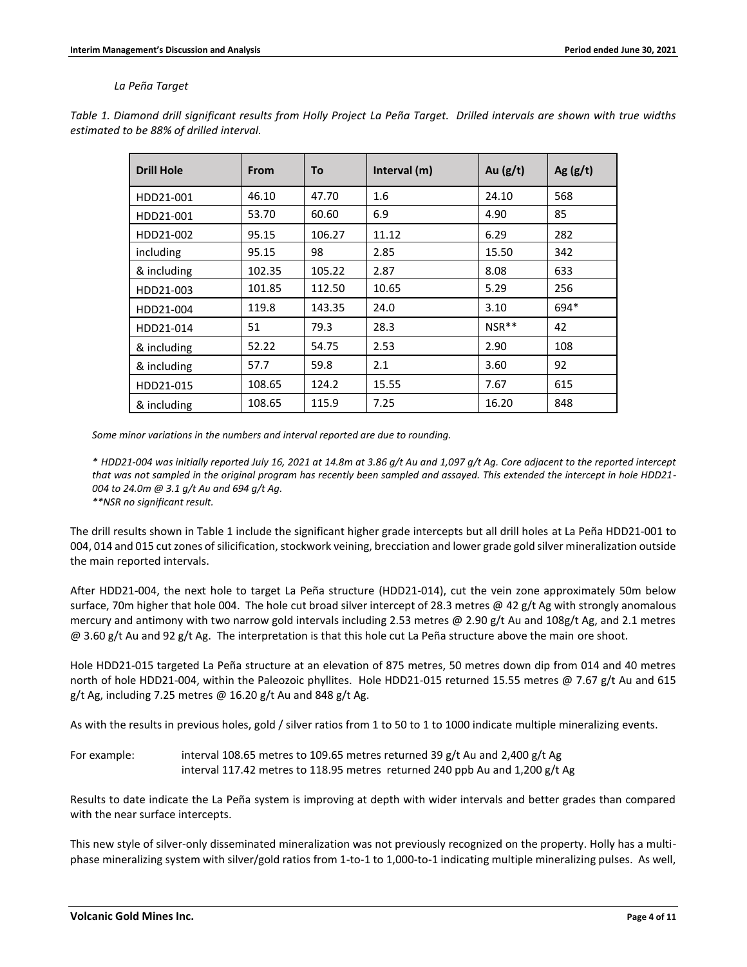### *La Peña Target*

| <b>Drill Hole</b> | <b>From</b> | To     | Interval (m) | Au $(g/t)$ | Ag $(g/t)$ |
|-------------------|-------------|--------|--------------|------------|------------|
| HDD21-001         | 46.10       | 47.70  | 1.6          | 24.10      | 568        |
| HDD21-001         | 53.70       | 60.60  | 6.9          | 4.90       | 85         |
| HDD21-002         | 95.15       | 106.27 | 11.12        | 6.29       | 282        |
| including         | 95.15       | 98     | 2.85         | 15.50      | 342        |
| & including       | 102.35      | 105.22 | 2.87         | 8.08       | 633        |
| HDD21-003         | 101.85      | 112.50 | 10.65        | 5.29       | 256        |
| HDD21-004         | 119.8       | 143.35 | 24.0         | 3.10       | 694*       |
| HDD21-014         | 51          | 79.3   | 28.3         | $NSR**$    | 42         |
| & including       | 52.22       | 54.75  | 2.53         | 2.90       | 108        |
| & including       | 57.7        | 59.8   | 2.1          | 3.60       | 92         |
| HDD21-015         | 108.65      | 124.2  | 15.55        | 7.67       | 615        |
| & including       | 108.65      | 115.9  | 7.25         | 16.20      | 848        |

*Table 1. Diamond drill significant results from Holly Project La Peña Target. Drilled intervals are shown with true widths estimated to be 88% of drilled interval.*

*Some minor variations in the numbers and interval reported are due to rounding.*

*\* HDD21-004 was initially reported July 16, 2021 at 14.8m at 3.86 g/t Au and 1,097 g/t Ag. Core adjacent to the reported intercept that was not sampled in the original program has recently been sampled and assayed. This extended the intercept in hole HDD21- 004 to 24.0m @ 3.1 g/t Au and 694 g/t Ag.*

*\*\*NSR no significant result.*

The drill results shown in Table 1 include the significant higher grade intercepts but all drill holes at La Peña HDD21-001 to 004, 014 and 015 cut zones of silicification, stockwork veining, brecciation and lower grade gold silver mineralization outside the main reported intervals.

After HDD21-004, the next hole to target La Peña structure (HDD21-014), cut the vein zone approximately 50m below surface, 70m higher that hole 004. The hole cut broad silver intercept of 28.3 metres @ 42 g/t Ag with strongly anomalous mercury and antimony with two narrow gold intervals including 2.53 metres @ 2.90 g/t Au and 108g/t Ag, and 2.1 metres @ 3.60 g/t Au and 92 g/t Ag. The interpretation is that this hole cut La Peña structure above the main ore shoot.

Hole HDD21-015 targeted La Peña structure at an elevation of 875 metres, 50 metres down dip from 014 and 40 metres north of hole HDD21-004, within the Paleozoic phyllites. Hole HDD21-015 returned 15.55 metres @ 7.67 g/t Au and 615 g/t Ag, including 7.25 metres  $\omega$  16.20 g/t Au and 848 g/t Ag.

As with the results in previous holes, gold / silver ratios from 1 to 50 to 1 to 1000 indicate multiple mineralizing events.

For example: interval 108.65 metres to 109.65 metres returned 39 g/t Au and 2,400 g/t Ag interval 117.42 metres to 118.95 metres returned 240 ppb Au and 1,200 g/t Ag

Results to date indicate the La Peña system is improving at depth with wider intervals and better grades than compared with the near surface intercepts.

This new style of silver-only disseminated mineralization was not previously recognized on the property. Holly has a multiphase mineralizing system with silver/gold ratios from 1-to-1 to 1,000-to-1 indicating multiple mineralizing pulses. As well,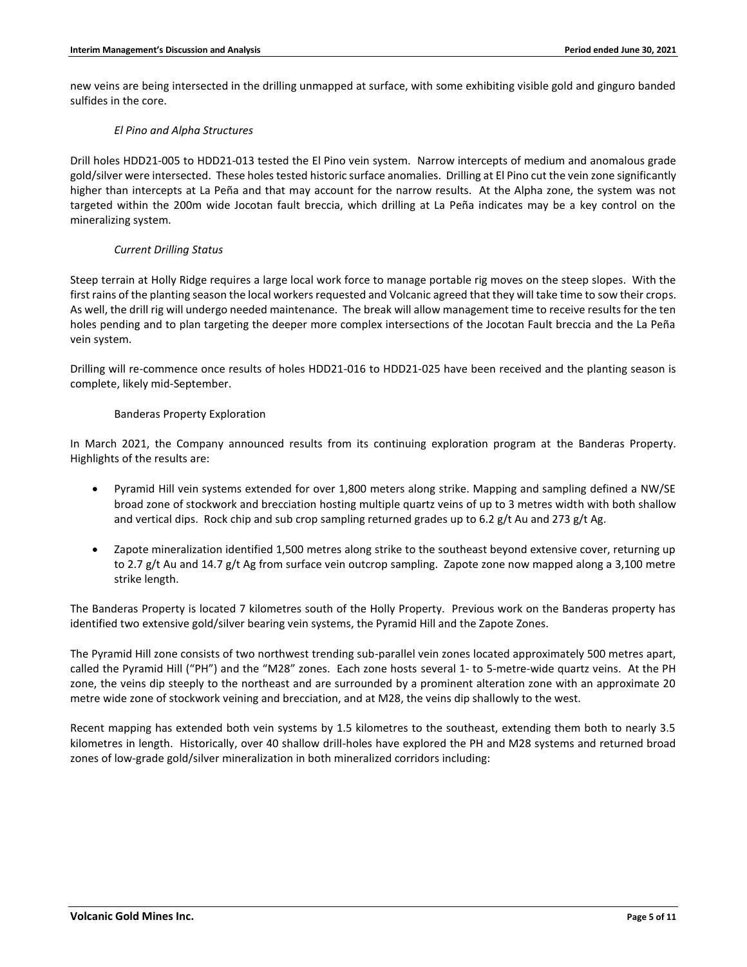new veins are being intersected in the drilling unmapped at surface, with some exhibiting visible gold and ginguro banded sulfides in the core.

### *El Pino and Alpha Structures*

Drill holes HDD21-005 to HDD21-013 tested the El Pino vein system. Narrow intercepts of medium and anomalous grade gold/silver were intersected. These holes tested historic surface anomalies. Drilling at El Pino cut the vein zone significantly higher than intercepts at La Peña and that may account for the narrow results. At the Alpha zone, the system was not targeted within the 200m wide Jocotan fault breccia, which drilling at La Peña indicates may be a key control on the mineralizing system.

### *Current Drilling Status*

Steep terrain at Holly Ridge requires a large local work force to manage portable rig moves on the steep slopes. With the first rains of the planting season the local workers requested and Volcanic agreed that they will take time to sow their crops. As well, the drill rig will undergo needed maintenance. The break will allow management time to receive results for the ten holes pending and to plan targeting the deeper more complex intersections of the Jocotan Fault breccia and the La Peña vein system.

Drilling will re-commence once results of holes HDD21-016 to HDD21-025 have been received and the planting season is complete, likely mid-September.

### Banderas Property Exploration

In March 2021, the Company announced results from its continuing exploration program at the Banderas Property. Highlights of the results are:

- Pyramid Hill vein systems extended for over 1,800 meters along strike. Mapping and sampling defined a NW/SE broad zone of stockwork and brecciation hosting multiple quartz veins of up to 3 metres width with both shallow and vertical dips. Rock chip and sub crop sampling returned grades up to 6.2  $g/t$  Au and 273  $g/t$  Ag.
- Zapote mineralization identified 1,500 metres along strike to the southeast beyond extensive cover, returning up to 2.7 g/t Au and 14.7 g/t Ag from surface vein outcrop sampling. Zapote zone now mapped along a 3,100 metre strike length.

The Banderas Property is located 7 kilometres south of the Holly Property. Previous work on the Banderas property has identified two extensive gold/silver bearing vein systems, the Pyramid Hill and the Zapote Zones.

The Pyramid Hill zone consists of two northwest trending sub-parallel vein zones located approximately 500 metres apart, called the Pyramid Hill ("PH") and the "M28" zones. Each zone hosts several 1- to 5-metre-wide quartz veins. At the PH zone, the veins dip steeply to the northeast and are surrounded by a prominent alteration zone with an approximate 20 metre wide zone of stockwork veining and brecciation, and at M28, the veins dip shallowly to the west.

Recent mapping has extended both vein systems by 1.5 kilometres to the southeast, extending them both to nearly 3.5 kilometres in length. Historically, over 40 shallow drill-holes have explored the PH and M28 systems and returned broad zones of low-grade gold/silver mineralization in both mineralized corridors including: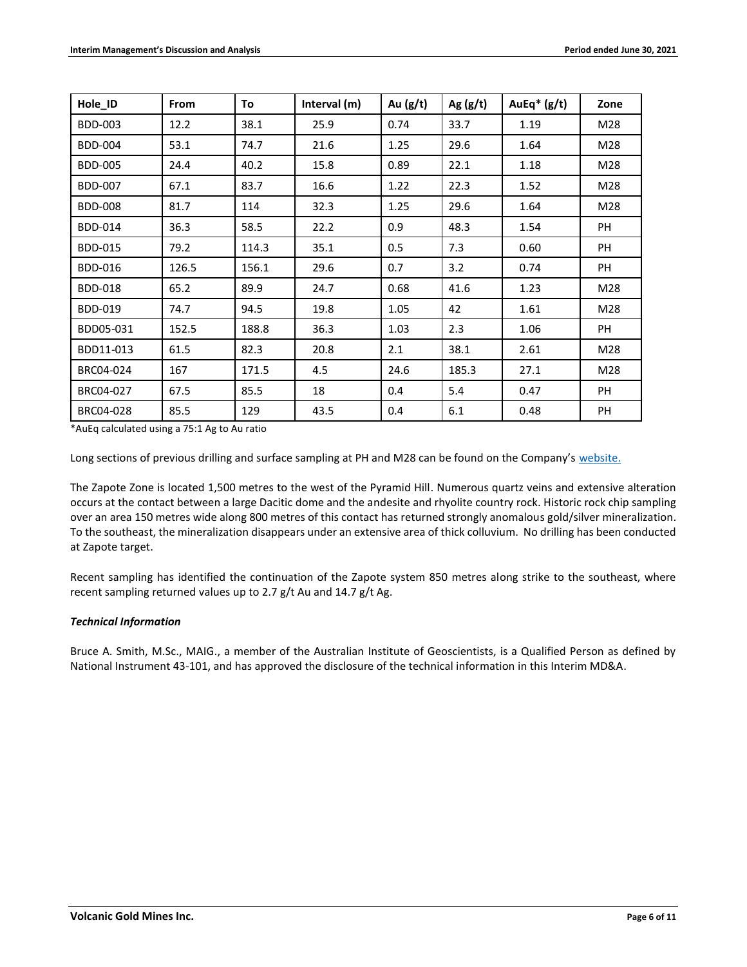| Hole_ID        | <b>From</b> | To    | Interval (m) | Au $(g/t)$ | Ag $(g/t)$ | AuEq $*(g/t)$ | Zone      |
|----------------|-------------|-------|--------------|------------|------------|---------------|-----------|
| <b>BDD-003</b> | 12.2        | 38.1  | 25.9         | 0.74       | 33.7       | 1.19          | M28       |
| <b>BDD-004</b> | 53.1        | 74.7  | 21.6         | 1.25       | 29.6       | 1.64          | M28       |
| <b>BDD-005</b> | 24.4        | 40.2  | 15.8         | 0.89       | 22.1       | 1.18          | M28       |
| <b>BDD-007</b> | 67.1        | 83.7  | 16.6         | 1.22       | 22.3       | 1.52          | M28       |
| <b>BDD-008</b> | 81.7        | 114   | 32.3         | 1.25       | 29.6       | 1.64          | M28       |
| <b>BDD-014</b> | 36.3        | 58.5  | 22.2         | 0.9        | 48.3       | 1.54          | PH        |
| <b>BDD-015</b> | 79.2        | 114.3 | 35.1         | 0.5        | 7.3        | 0.60          | PH        |
| <b>BDD-016</b> | 126.5       | 156.1 | 29.6         | 0.7        | 3.2        | 0.74          | <b>PH</b> |
| <b>BDD-018</b> | 65.2        | 89.9  | 24.7         | 0.68       | 41.6       | 1.23          | M28       |
| <b>BDD-019</b> | 74.7        | 94.5  | 19.8         | 1.05       | 42         | 1.61          | M28       |
| BDD05-031      | 152.5       | 188.8 | 36.3         | 1.03       | 2.3        | 1.06          | PH        |
| BDD11-013      | 61.5        | 82.3  | 20.8         | 2.1        | 38.1       | 2.61          | M28       |
| BRC04-024      | 167         | 171.5 | 4.5          | 24.6       | 185.3      | 27.1          | M28       |
| BRC04-027      | 67.5        | 85.5  | 18           | 0.4        | 5.4        | 0.47          | PH        |
| BRC04-028      | 85.5        | 129   | 43.5         | 0.4        | 6.1        | 0.48          | PH        |

\*AuEq calculated using a 75:1 Ag to Au ratio

Long sections of previous drilling and surface sampling at PH and M28 can be found on the Company's [website.](https://www.volgold.com/projects/banderas-project/)

The Zapote Zone is located 1,500 metres to the west of the Pyramid Hill. Numerous quartz veins and extensive alteration occurs at the contact between a large Dacitic dome and the andesite and rhyolite country rock. Historic rock chip sampling over an area 150 metres wide along 800 metres of this contact has returned strongly anomalous gold/silver mineralization. To the southeast, the mineralization disappears under an extensive area of thick colluvium. No drilling has been conducted at Zapote target.

Recent sampling has identified the continuation of the Zapote system 850 metres along strike to the southeast, where recent sampling returned values up to 2.7 g/t Au and 14.7 g/t Ag.

### *Technical Information*

Bruce A. Smith, M.Sc., MAIG., a member of the Australian Institute of Geoscientists, is a Qualified Person as defined by National Instrument 43-101, and has approved the disclosure of the technical information in this Interim MD&A.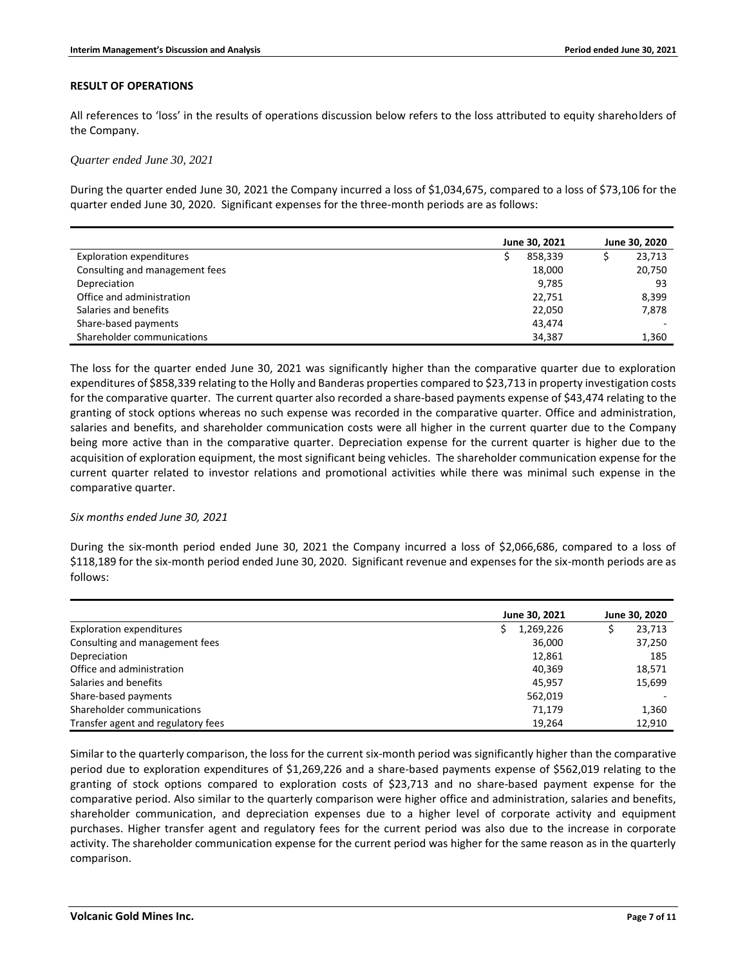#### **RESULT OF OPERATIONS**

All references to 'loss' in the results of operations discussion below refers to the loss attributed to equity shareholders of the Company.

*Quarter ended June 30, 2021*

During the quarter ended June 30, 2021 the Company incurred a loss of \$1,034,675, compared to a loss of \$73,106 for the quarter ended June 30, 2020. Significant expenses for the three-month periods are as follows:

|                                 | June 30, 2021 |         | June 30, 2020 |  |
|---------------------------------|---------------|---------|---------------|--|
| <b>Exploration expenditures</b> |               | 858,339 | 23,713        |  |
| Consulting and management fees  |               | 18,000  | 20,750        |  |
| Depreciation                    |               | 9,785   | 93            |  |
| Office and administration       |               | 22,751  | 8,399         |  |
| Salaries and benefits           |               | 22,050  | 7,878         |  |
| Share-based payments            |               | 43.474  |               |  |
| Shareholder communications      |               | 34,387  | 1,360         |  |

The loss for the quarter ended June 30, 2021 was significantly higher than the comparative quarter due to exploration expenditures of \$858,339 relating to the Holly and Banderas properties compared to \$23,713 in property investigation costs for the comparative quarter. The current quarter also recorded a share-based payments expense of \$43,474 relating to the granting of stock options whereas no such expense was recorded in the comparative quarter. Office and administration, salaries and benefits, and shareholder communication costs were all higher in the current quarter due to the Company being more active than in the comparative quarter. Depreciation expense for the current quarter is higher due to the acquisition of exploration equipment, the most significant being vehicles. The shareholder communication expense for the current quarter related to investor relations and promotional activities while there was minimal such expense in the comparative quarter.

### *Six months ended June 30, 2021*

During the six-month period ended June 30, 2021 the Company incurred a loss of \$2,066,686, compared to a loss of \$118,189 for the six-month period ended June 30, 2020. Significant revenue and expenses for the six-month periods are as follows:

|                                    | June 30, 2021 | June 30, 2020 |
|------------------------------------|---------------|---------------|
| <b>Exploration expenditures</b>    | 1,269,226     | 23,713        |
| Consulting and management fees     | 36,000        | 37,250        |
| Depreciation                       | 12,861        | 185           |
| Office and administration          | 40.369        | 18,571        |
| Salaries and benefits              | 45.957        | 15,699        |
| Share-based payments               | 562,019       |               |
| Shareholder communications         | 71,179        | 1,360         |
| Transfer agent and regulatory fees | 19.264        | 12,910        |

Similar to the quarterly comparison, the loss for the current six-month period was significantly higher than the comparative period due to exploration expenditures of \$1,269,226 and a share-based payments expense of \$562,019 relating to the granting of stock options compared to exploration costs of \$23,713 and no share-based payment expense for the comparative period. Also similar to the quarterly comparison were higher office and administration, salaries and benefits, shareholder communication, and depreciation expenses due to a higher level of corporate activity and equipment purchases. Higher transfer agent and regulatory fees for the current period was also due to the increase in corporate activity. The shareholder communication expense for the current period was higher for the same reason as in the quarterly comparison.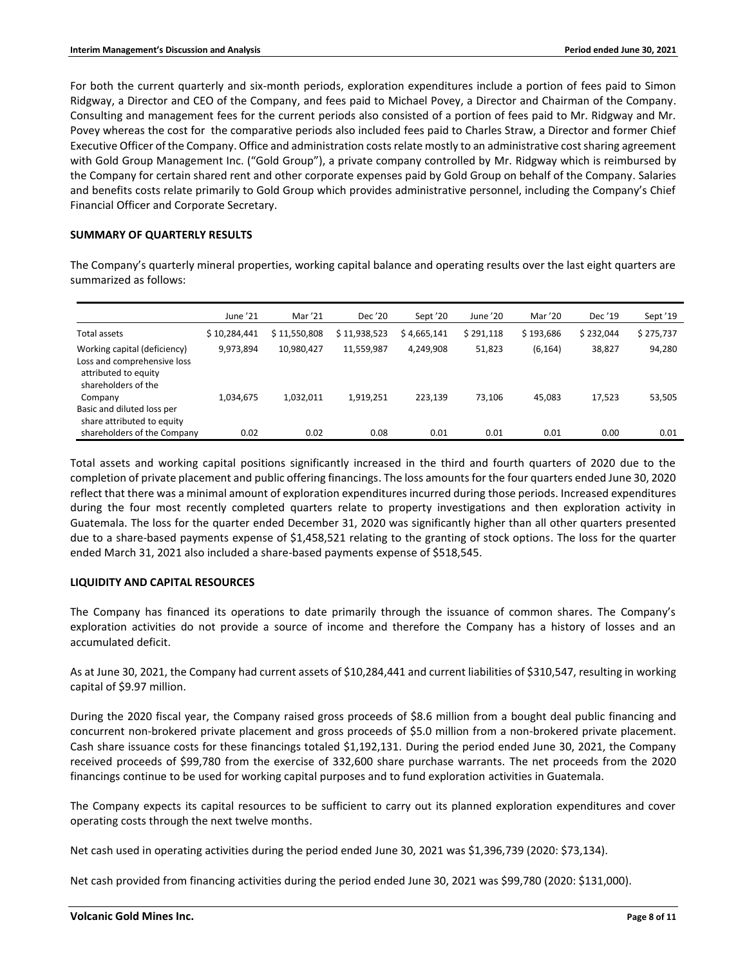For both the current quarterly and six-month periods, exploration expenditures include a portion of fees paid to Simon Ridgway, a Director and CEO of the Company, and fees paid to Michael Povey, a Director and Chairman of the Company. Consulting and management fees for the current periods also consisted of a portion of fees paid to Mr. Ridgway and Mr. Povey whereas the cost for the comparative periods also included fees paid to Charles Straw, a Director and former Chief Executive Officer of the Company. Office and administration costs relate mostly to an administrative cost sharing agreement with Gold Group Management Inc. ("Gold Group"), a private company controlled by Mr. Ridgway which is reimbursed by the Company for certain shared rent and other corporate expenses paid by Gold Group on behalf of the Company. Salaries and benefits costs relate primarily to Gold Group which provides administrative personnel, including the Company's Chief Financial Officer and Corporate Secretary.

# **SUMMARY OF QUARTERLY RESULTS**

The Company's quarterly mineral properties, working capital balance and operating results over the last eight quarters are summarized as follows:

|                                                                                                            | June '21     | Mar '21      | Dec '20      | Sept '20    | June '20  | Mar '20   | Dec '19   | Sept '19  |
|------------------------------------------------------------------------------------------------------------|--------------|--------------|--------------|-------------|-----------|-----------|-----------|-----------|
| Total assets                                                                                               | \$10,284,441 | \$11,550,808 | \$11,938,523 | \$4,665,141 | \$291,118 | \$193,686 | \$232,044 | \$275,737 |
| Working capital (deficiency)<br>Loss and comprehensive loss<br>attributed to equity<br>shareholders of the | 9,973,894    | 10,980,427   | 11,559,987   | 4,249,908   | 51,823    | (6, 164)  | 38,827    | 94,280    |
| Company<br>Basic and diluted loss per<br>share attributed to equity                                        | 1.034.675    | 1.032.011    | 1,919,251    | 223.139     | 73.106    | 45.083    | 17,523    | 53,505    |
| shareholders of the Company                                                                                | 0.02         | 0.02         | 0.08         | 0.01        | 0.01      | 0.01      | 0.00      | 0.01      |

Total assets and working capital positions significantly increased in the third and fourth quarters of 2020 due to the completion of private placement and public offering financings. The loss amounts for the four quarters ended June 30, 2020 reflect that there was a minimal amount of exploration expenditures incurred during those periods. Increased expenditures during the four most recently completed quarters relate to property investigations and then exploration activity in Guatemala. The loss for the quarter ended December 31, 2020 was significantly higher than all other quarters presented due to a share-based payments expense of \$1,458,521 relating to the granting of stock options. The loss for the quarter ended March 31, 2021 also included a share-based payments expense of \$518,545.

# **LIQUIDITY AND CAPITAL RESOURCES**

The Company has financed its operations to date primarily through the issuance of common shares. The Company's exploration activities do not provide a source of income and therefore the Company has a history of losses and an accumulated deficit.

As at June 30, 2021, the Company had current assets of \$10,284,441 and current liabilities of \$310,547, resulting in working capital of \$9.97 million.

During the 2020 fiscal year, the Company raised gross proceeds of \$8.6 million from a bought deal public financing and concurrent non-brokered private placement and gross proceeds of \$5.0 million from a non-brokered private placement. Cash share issuance costs for these financings totaled \$1,192,131. During the period ended June 30, 2021, the Company received proceeds of \$99,780 from the exercise of 332,600 share purchase warrants. The net proceeds from the 2020 financings continue to be used for working capital purposes and to fund exploration activities in Guatemala.

The Company expects its capital resources to be sufficient to carry out its planned exploration expenditures and cover operating costs through the next twelve months.

Net cash used in operating activities during the period ended June 30, 2021 was \$1,396,739 (2020: \$73,134).

Net cash provided from financing activities during the period ended June 30, 2021 was \$99,780 (2020: \$131,000).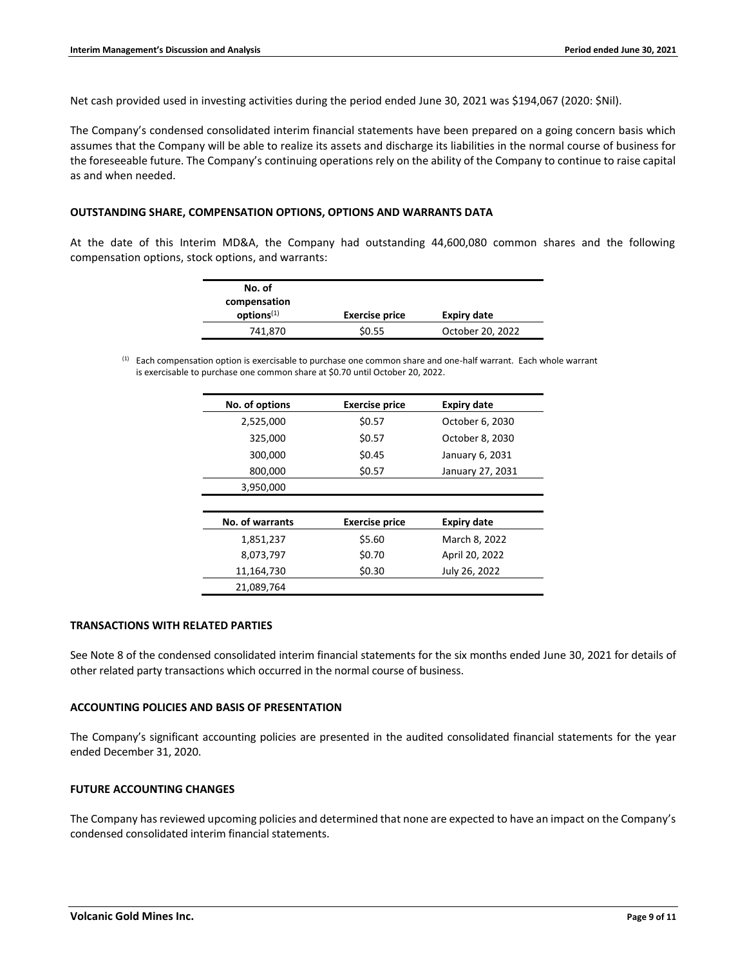Net cash provided used in investing activities during the period ended June 30, 2021 was \$194,067 (2020: \$Nil).

The Company's condensed consolidated interim financial statements have been prepared on a going concern basis which assumes that the Company will be able to realize its assets and discharge its liabilities in the normal course of business for the foreseeable future. The Company's continuing operations rely on the ability of the Company to continue to raise capital as and when needed.

#### **OUTSTANDING SHARE, COMPENSATION OPTIONS, OPTIONS AND WARRANTS DATA**

At the date of this Interim MD&A, the Company had outstanding 44,600,080 common shares and the following compensation options, stock options, and warrants:

| No. of<br>compensation |                       |                  |
|------------------------|-----------------------|------------------|
| options <sup>(1)</sup> | <b>Exercise price</b> | Expiry date      |
| 741,870                | \$0.55                | October 20, 2022 |

(1) Each compensation option is exercisable to purchase one common share and one-half warrant. Each whole warrant is exercisable to purchase one common share at \$0.70 until October 20, 2022.

| No. of options  | <b>Exercise price</b> | <b>Expiry date</b> |
|-----------------|-----------------------|--------------------|
| 2,525,000       | \$0.57                | October 6, 2030    |
| 325,000         | \$0.57                | October 8, 2030    |
| 300,000         | \$0.45                | January 6, 2031    |
| 800,000         | \$0.57                | January 27, 2031   |
| 3,950,000       |                       |                    |
|                 |                       |                    |
| No. of warrants | <b>Exercise price</b> | <b>Expiry date</b> |
| 1,851,237       | \$5.60                | March 8, 2022      |
| 8,073,797       | \$0.70                | April 20, 2022     |
| 11,164,730      | \$0.30                | July 26, 2022      |
| 21,089,764      |                       |                    |

#### **TRANSACTIONS WITH RELATED PARTIES**

See Note 8 of the condensed consolidated interim financial statements for the six months ended June 30, 2021 for details of other related party transactions which occurred in the normal course of business.

### **ACCOUNTING POLICIES AND BASIS OF PRESENTATION**

The Company's significant accounting policies are presented in the audited consolidated financial statements for the year ended December 31, 2020.

### **FUTURE ACCOUNTING CHANGES**

The Company has reviewed upcoming policies and determined that none are expected to have an impact on the Company's condensed consolidated interim financial statements.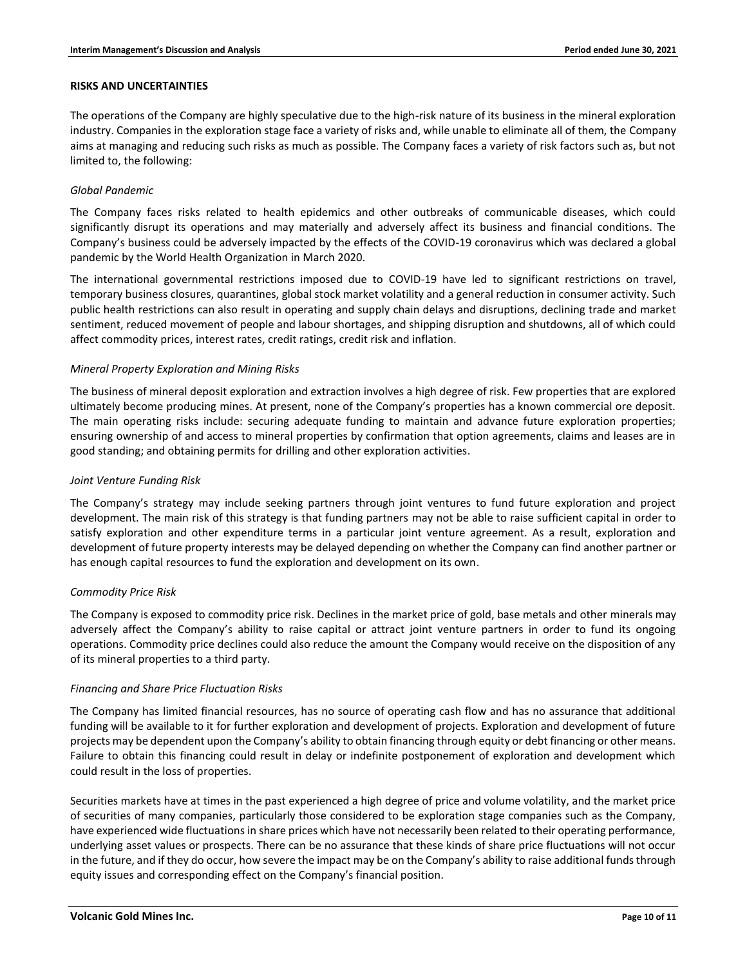#### **RISKS AND UNCERTAINTIES**

The operations of the Company are highly speculative due to the high-risk nature of its business in the mineral exploration industry. Companies in the exploration stage face a variety of risks and, while unable to eliminate all of them, the Company aims at managing and reducing such risks as much as possible. The Company faces a variety of risk factors such as, but not limited to, the following:

### *Global Pandemic*

The Company faces risks related to health epidemics and other outbreaks of communicable diseases, which could significantly disrupt its operations and may materially and adversely affect its business and financial conditions. The Company's business could be adversely impacted by the effects of the COVID-19 coronavirus which was declared a global pandemic by the World Health Organization in March 2020.

The international governmental restrictions imposed due to COVID-19 have led to significant restrictions on travel, temporary business closures, quarantines, global stock market volatility and a general reduction in consumer activity. Such public health restrictions can also result in operating and supply chain delays and disruptions, declining trade and market sentiment, reduced movement of people and labour shortages, and shipping disruption and shutdowns, all of which could affect commodity prices, interest rates, credit ratings, credit risk and inflation.

#### *Mineral Property Exploration and Mining Risks*

The business of mineral deposit exploration and extraction involves a high degree of risk. Few properties that are explored ultimately become producing mines. At present, none of the Company's properties has a known commercial ore deposit. The main operating risks include: securing adequate funding to maintain and advance future exploration properties; ensuring ownership of and access to mineral properties by confirmation that option agreements, claims and leases are in good standing; and obtaining permits for drilling and other exploration activities.

### *Joint Venture Funding Risk*

The Company's strategy may include seeking partners through joint ventures to fund future exploration and project development. The main risk of this strategy is that funding partners may not be able to raise sufficient capital in order to satisfy exploration and other expenditure terms in a particular joint venture agreement. As a result, exploration and development of future property interests may be delayed depending on whether the Company can find another partner or has enough capital resources to fund the exploration and development on its own.

### *Commodity Price Risk*

The Company is exposed to commodity price risk. Declines in the market price of gold, base metals and other minerals may adversely affect the Company's ability to raise capital or attract joint venture partners in order to fund its ongoing operations. Commodity price declines could also reduce the amount the Company would receive on the disposition of any of its mineral properties to a third party.

### *Financing and Share Price Fluctuation Risks*

The Company has limited financial resources, has no source of operating cash flow and has no assurance that additional funding will be available to it for further exploration and development of projects. Exploration and development of future projects may be dependent upon the Company's ability to obtain financing through equity or debt financing or other means. Failure to obtain this financing could result in delay or indefinite postponement of exploration and development which could result in the loss of properties.

Securities markets have at times in the past experienced a high degree of price and volume volatility, and the market price of securities of many companies, particularly those considered to be exploration stage companies such as the Company, have experienced wide fluctuations in share prices which have not necessarily been related to their operating performance, underlying asset values or prospects. There can be no assurance that these kinds of share price fluctuations will not occur in the future, and if they do occur, how severe the impact may be on the Company's ability to raise additional funds through equity issues and corresponding effect on the Company's financial position.